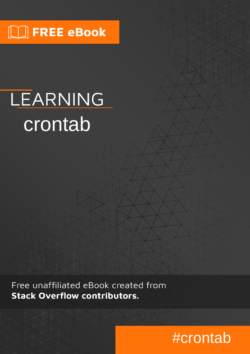# $\Box$  FREE eBook

# LEARNING crontab

Free unaffiliated eBook created from **Stack Overflow contributors.** 

# #crontab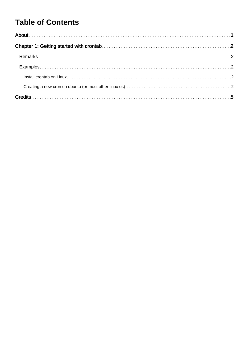### **Table of Contents**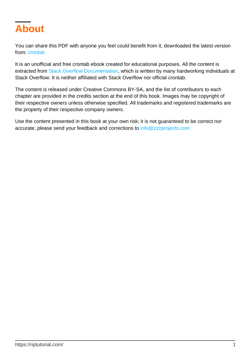<span id="page-2-0"></span>

You can share this PDF with anyone you feel could benefit from it, downloaded the latest version from: [crontab](http://riptutorial.com/ebook/crontab)

It is an unofficial and free crontab ebook created for educational purposes. All the content is extracted from [Stack Overflow Documentation,](https://archive.org/details/documentation-dump.7z) which is written by many hardworking individuals at Stack Overflow. It is neither affiliated with Stack Overflow nor official crontab.

The content is released under Creative Commons BY-SA, and the list of contributors to each chapter are provided in the credits section at the end of this book. Images may be copyright of their respective owners unless otherwise specified. All trademarks and registered trademarks are the property of their respective company owners.

Use the content presented in this book at your own risk; it is not guaranteed to be correct nor accurate, please send your feedback and corrections to [info@zzzprojects.com](mailto:info@zzzprojects.com)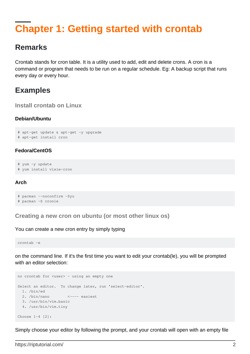### <span id="page-3-0"></span>**Chapter 1: Getting started with crontab**

#### <span id="page-3-1"></span>**Remarks**

Crontab stands for cron table. It is a utility used to add, edit and delete crons. A cron is a command or program that needs to be run on a regular schedule. Eg: A backup script that runs every day or every hour.

#### <span id="page-3-2"></span>**Examples**

<span id="page-3-3"></span>**Install crontab on Linux**

#### **Debian/Ubuntu**

```
# apt-get update & apt-get -y upgrade
# apt-get install cron
```
#### **Fedora/CentOS**

# yum -y update # yum install vixie-cron

#### **Arch**

```
# pacman --noconfirm -Syu
# pacman -S cronie
```
<span id="page-3-4"></span>**Creating a new cron on ubuntu (or most other linux os)**

#### You can create a new cron entry by simply typing

crontab -e

on the command line. If it's the first time you want to edit your crontab(le), you will be prompted with an editor selection:

```
no crontab for <user> - using an empty one
Select an editor. To change later, run 'select-editor'.
  1. /bin/ed
  2. /bin/nano <---- easiest
  3. /usr/bin/vim.basic
  4. /usr/bin/vim.tiny
Choose 1-4 [2]:
```
Simply choose your editor by following the prompt, and your crontab will open with an empty file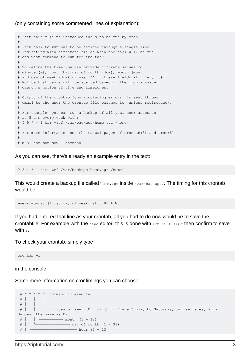#### (only containing some commented lines of explanation):

```
# Edit this file to introduce tasks to be run by cron.
#
# Each task to run has to be defined through a single line
# indicating with different fields when the task will be run
# and what command to run for the task
#
# To define the time you can provide concrete values for
# minute (m), hour (h), day of month (dom), month (mon),
# and day of week (dow) or use '*' in these fields (for 'any').#
# Notice that tasks will be started based on the cron's system
# daemon's notion of time and timezones.
#
# Output of the crontab jobs (including errors) is sent through
# email to the user the crontab file belongs to (unless redirected).
#
# For example, you can run a backup of all your user accounts
# at 5 a.m every week with:
# 0 5 * * 1 tar -zcf /var/backups/home.tgz /home/
#
# For more information see the manual pages of crontab(5) and cron(8)
#
# m h dom mon dow command
```
As you can see, there's already an example entry in the text:

0 5 \* \* 1 tar -zcf /var/backups/home.tgz /home/

This would create a backup file called home.tgz inside /var/backups/. The timing for this crontab would be

every monday (first day of week) at 5:00 A.M.

If you had entered that line as your crontab, all you had to do now would be to save the crontabfile. For example with the  $_{\text{nano}}$  editor, this is done with  $\langle \text{ctr12} \rangle + \langle \text{xx} \rangle$  - then confirm to save with **Y**.

To check your crontab, simply type

crontab -l

in the console.

Some more information on crontimings you can choose:

```
 # * * * * * command to execute
  # │ │ │ │ │
  # │ │ │ │ │
 \# | | | \Box - day of week (0 - 6) (0 to 6 are Sunday to Saturday, or use names; 7 is
Sunday, the same as 0)
  # │ │ │ └────────── month (1 - 12)
  # │ │ └─────────────── day of month (1 - 31)
  # │ └──────────────────── hour (0 - 23)
```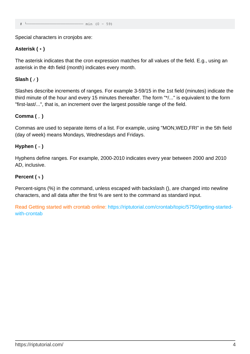$min (0 - 59)$ 

Special characters in cronjobs are:

#### **Asterisk ( \* )**

The asterisk indicates that the cron expression matches for all values of the field. E.g., using an asterisk in the 4th field (month) indicates every month.

#### **Slash ( / )**

Slashes describe increments of ranges. For example 3-59/15 in the 1st field (minutes) indicate the third minute of the hour and every 15 minutes thereafter. The form "\*/..." is equivalent to the form "first-last/...", that is, an increment over the largest possible range of the field.

#### **Comma ( , )**

Commas are used to separate items of a list. For example, using "MON,WED,FRI" in the 5th field (day of week) means Mondays, Wednesdays and Fridays.

#### **Hyphen ( - )**

Hyphens define ranges. For example, 2000-2010 indicates every year between 2000 and 2010 AD, inclusive.

#### **Percent ( % )**

Percent-signs (%) in the command, unless escaped with backslash (), are changed into newline characters, and all data after the first % are sent to the command as standard input.

Read Getting started with crontab online: [https://riptutorial.com/crontab/topic/5750/getting-started](https://riptutorial.com/crontab/topic/5750/getting-started-with-crontab)[with-crontab](https://riptutorial.com/crontab/topic/5750/getting-started-with-crontab)